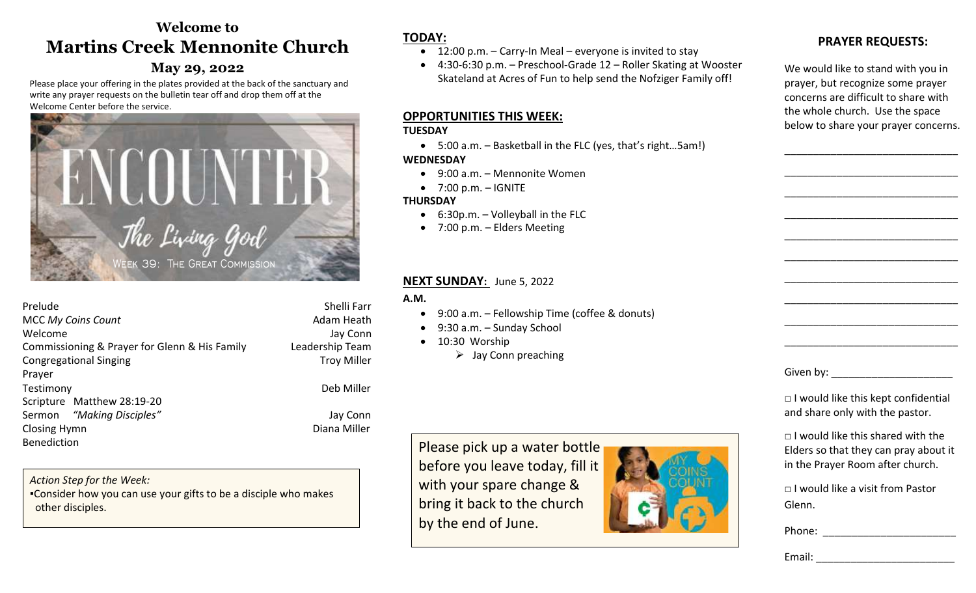# **Welcome to Martins Creek****Mennonite Church**

### **May 29, 2022**

Please place your offering in the plates provided at the back of the sanctuary and write any prayer requests on the bulletin tear off and drop them off at the Welcome Center before the service.



| Prelude                                       | Shelli Farr        |
|-----------------------------------------------|--------------------|
|                                               |                    |
| <b>MCC My Coins Count</b>                     | Adam Heath         |
| Welcome                                       | Jay Conn           |
| Commissioning & Prayer for Glenn & His Family | Leadership Team    |
| <b>Congregational Singing</b>                 | <b>Troy Miller</b> |
| Prayer                                        |                    |
| Testimony                                     | Deb Miller         |
| Scripture Matthew 28:19-20                    |                    |
| Sermon "Making Disciples"                     | Jay Conn           |
| Closing Hymn                                  | Diana Miller       |
| <b>Benediction</b>                            |                    |

Deb Miller

*Action Step for the Week:*  ▪Consider how you can use your gifts to be a disciple who makes other disciples.

# **TODAY:**

- $\bullet$  12:00 p.m. Carry-In Meal everyone is invited to stay
- 4:30-6:30 p.m. Preschool-Grade 12 Roller Skating at Wooster Skateland at Acres of Fun to help send the Nofziger Family off!

### **OPPORTUNITIES THIS WEEK:**

#### **TUESDAY**

5:00 a.m. – Basketball in the FLC (yes, that's right…5am!)

#### **WEDNESDAY**

- 9:00 a.m. Mennonite Women
- $\bullet$  7:00 p.m. IGNITE

### **THURSDAY**

- $6:30p.m. Volleyball in the FLC$
- 7:00 p.m. Elders Meeting

### **NEXT SUNDAY:** June 5, 2022

### **A.M.**

- 9:00 a.m. Fellowship Time (coffee & donuts)
- 9:30 a.m. Sunday School
- $\bullet$  10:30 Worship
	- $\triangleright$  Jay Conn preaching

Please pick up a water bottle before you leave today, fill it with your spare change & bring it back to the church by the end of June.



# **PRAYER REQUESTS:**

We would like to stand with you in prayer, but recognize some prayer concerns are difficult to share with the whole church. Use the space below to share your prayer concerns.

\_\_\_\_\_\_\_\_\_\_\_\_\_\_\_\_\_\_\_\_\_\_\_\_\_\_\_\_\_\_

\_\_\_\_\_\_\_\_\_\_\_\_\_\_\_\_\_\_\_\_\_\_\_\_\_\_\_\_\_\_

\_\_\_\_\_\_\_\_\_\_\_\_\_\_\_\_\_\_\_\_\_\_\_\_\_\_\_\_\_\_

\_\_\_\_\_\_\_\_\_\_\_\_\_\_\_\_\_\_\_\_\_\_\_\_\_\_\_\_\_\_

\_\_\_\_\_\_\_\_\_\_\_\_\_\_\_\_\_\_\_\_\_\_\_\_\_\_\_\_\_\_

\_\_\_\_\_\_\_\_\_\_\_\_\_\_\_\_\_\_\_\_\_\_\_\_\_\_\_\_\_\_

\_\_\_\_\_\_\_\_\_\_\_\_\_\_\_\_\_\_\_\_\_\_\_\_\_\_\_\_\_\_

\_\_\_\_\_\_\_\_\_\_\_\_\_\_\_\_\_\_\_\_\_\_\_\_\_\_\_\_\_\_

\_\_\_\_\_\_\_\_\_\_\_\_\_\_\_\_\_\_\_\_\_\_\_\_\_\_\_\_\_\_

\_\_\_\_\_\_\_\_\_\_\_\_\_\_\_\_\_\_\_\_\_\_\_\_\_\_\_\_\_\_

Given by: **Example 20** 

□ I would like this kept confidential and share only with the pastor.

 $\neg$  I would like this shared with the Elders so that they can pray about it in the Prayer Room after church.

□ I would like a visit from Pastor Glenn.

Phone: \_\_\_\_\_\_\_\_\_\_\_\_\_\_\_\_\_\_\_\_\_\_\_

Email: \_\_\_\_\_\_\_\_\_\_\_\_\_\_\_\_\_\_\_\_\_\_\_\_